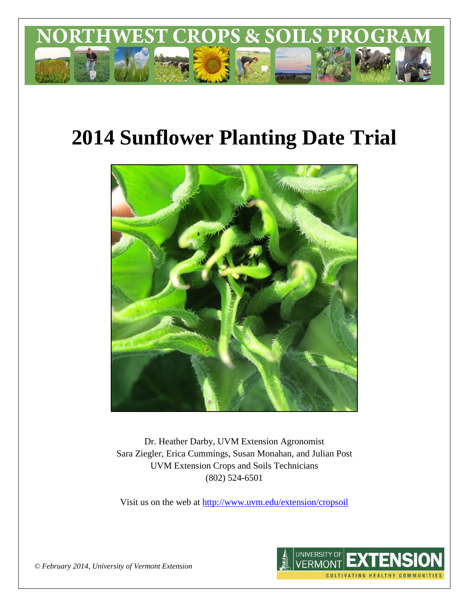

# **2014 Sunflower Planting Date Trial**



Dr. Heather Darby, UVM Extension Agronomist Sara Ziegler, Erica Cummings, Susan Monahan, and Julian Post UVM Extension Crops and Soils Technicians (802) 524-6501

Visit us on the web at <http://www.uvm.edu/extension/cropsoil>



*© February 2014, University of Vermont Extension*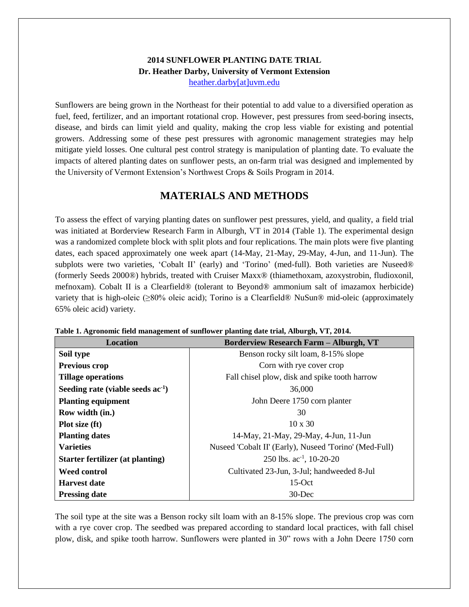### **2014 SUNFLOWER PLANTING DATE TRIAL Dr. Heather Darby, University of Vermont Extension** [heather.darby\[at\]uvm.edu](mailto:heather.darby@uvm.edu?subject=2013%20Sunflower%20Planting%20Date%20Trial)

Sunflowers are being grown in the Northeast for their potential to add value to a diversified operation as fuel, feed, fertilizer, and an important rotational crop. However, pest pressures from seed-boring insects, disease, and birds can limit yield and quality, making the crop less viable for existing and potential growers. Addressing some of these pest pressures with agronomic management strategies may help mitigate yield losses. One cultural pest control strategy is manipulation of planting date. To evaluate the impacts of altered planting dates on sunflower pests, an on-farm trial was designed and implemented by the University of Vermont Extension's Northwest Crops & Soils Program in 2014.

## **MATERIALS AND METHODS**

To assess the effect of varying planting dates on sunflower pest pressures, yield, and quality, a field trial was initiated at Borderview Research Farm in Alburgh, VT in 2014 (Table 1). The experimental design was a randomized complete block with split plots and four replications. The main plots were five planting dates, each spaced approximately one week apart (14-May, 21-May, 29-May, 4-Jun, and 11-Jun). The subplots were two varieties, 'Cobalt II' (early) and 'Torino' (med-full). Both varieties are Nuseed® (formerly Seeds 2000®) hybrids, treated with Cruiser Maxx® (thiamethoxam, azoxystrobin, fludioxonil, mefnoxam). Cobalt II is a Clearfield® (tolerant to Beyond® ammonium salt of imazamox herbicide) variety that is high-oleic (≥80% oleic acid); Torino is a Clearfield® NuSun® mid-oleic (approximately 65% oleic acid) variety.

| Location                                                       | <b>Borderview Research Farm - Alburgh, VT</b>          |  |  |  |
|----------------------------------------------------------------|--------------------------------------------------------|--|--|--|
| Soil type                                                      | Benson rocky silt loam, 8-15% slope                    |  |  |  |
| Previous crop                                                  | Corn with rye cover crop                               |  |  |  |
| <b>Tillage operations</b>                                      | Fall chisel plow, disk and spike tooth harrow          |  |  |  |
| Seeding rate (viable seeds $ac^{-1}$ )                         | 36,000                                                 |  |  |  |
| <b>Planting equipment</b>                                      | John Deere 1750 corn planter                           |  |  |  |
| Row width (in.)                                                | 30                                                     |  |  |  |
| <b>Plot size (ft)</b>                                          | $10 \times 30$                                         |  |  |  |
| 14-May, 21-May, 29-May, 4-Jun, 11-Jun<br><b>Planting dates</b> |                                                        |  |  |  |
| <b>Varieties</b>                                               | Nuseed 'Cobalt II' (Early), Nuseed 'Torino' (Med-Full) |  |  |  |
| <b>Starter fertilizer (at planting)</b>                        | 250 lbs. $ac^{-1}$ , 10-20-20                          |  |  |  |
| <b>Weed control</b>                                            | Cultivated 23-Jun, 3-Jul; handweeded 8-Jul             |  |  |  |
| <b>Harvest date</b>                                            | $15-Oct$                                               |  |  |  |
| <b>Pressing date</b>                                           | $30$ -Dec                                              |  |  |  |

**Table 1. Agronomic field management of sunflower planting date trial, Alburgh, VT, 2014.**

The soil type at the site was a Benson rocky silt loam with an 8-15% slope. The previous crop was corn with a rye cover crop. The seedbed was prepared according to standard local practices, with fall chisel plow, disk, and spike tooth harrow. Sunflowers were planted in 30" rows with a John Deere 1750 corn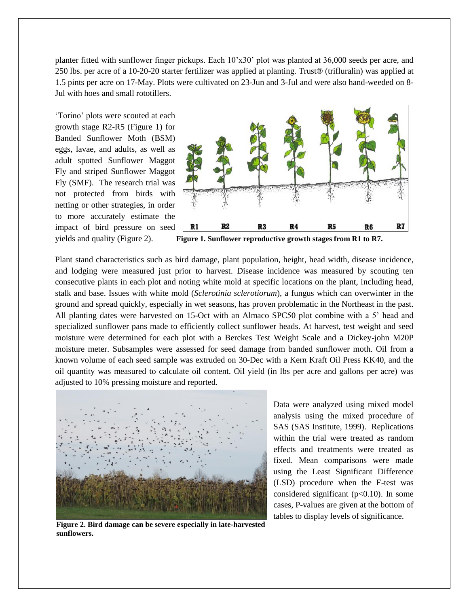planter fitted with sunflower finger pickups. Each 10'x30' plot was planted at 36,000 seeds per acre, and 250 lbs. per acre of a 10-20-20 starter fertilizer was applied at planting. Trust® (trifluralin) was applied at 1.5 pints per acre on 17-May. Plots were cultivated on 23-Jun and 3-Jul and were also hand-weeded on 8- Jul with hoes and small rototillers.

'Torino' plots were scouted at each growth stage R2-R5 (Figure 1) for Banded Sunflower Moth (BSM) eggs, lavae, and adults, as well as adult spotted Sunflower Maggot Fly and striped Sunflower Maggot Fly (SMF). The research trial was not protected from birds with netting or other strategies, in order to more accurately estimate the impact of bird pressure on seed



yields and quality (Figure 2). **Figure 1. Sunflower reproductive growth stages from R1 to R7.**

Plant stand characteristics such as bird damage, plant population, height, head width, disease incidence, and lodging were measured just prior to harvest. Disease incidence was measured by scouting ten consecutive plants in each plot and noting white mold at specific locations on the plant, including head, stalk and base. Issues with white mold (*Sclerotinia sclerotiorum*), a fungus which can overwinter in the ground and spread quickly, especially in wet seasons, has proven problematic in the Northeast in the past. All planting dates were harvested on 15-Oct with an Almaco SPC50 plot combine with a 5' head and specialized sunflower pans made to efficiently collect sunflower heads. At harvest, test weight and seed moisture were determined for each plot with a Berckes Test Weight Scale and a Dickey-john M20P moisture meter. Subsamples were assessed for seed damage from banded sunflower moth. Oil from a known volume of each seed sample was extruded on 30-Dec with a Kern Kraft Oil Press KK40, and the oil quantity was measured to calculate oil content. Oil yield (in lbs per acre and gallons per acre) was adjusted to 10% pressing moisture and reported.



Data were analyzed using mixed model analysis using the mixed procedure of SAS (SAS Institute, 1999). Replications within the trial were treated as random effects and treatments were treated as fixed. Mean comparisons were made using the Least Significant Difference (LSD) procedure when the F-test was considered significant  $(p<0.10)$ . In some cases, P-values are given at the bottom of tables to display levels of significance.

**Figure 2. Bird damage can be severe especially in late-harvested sunflowers.**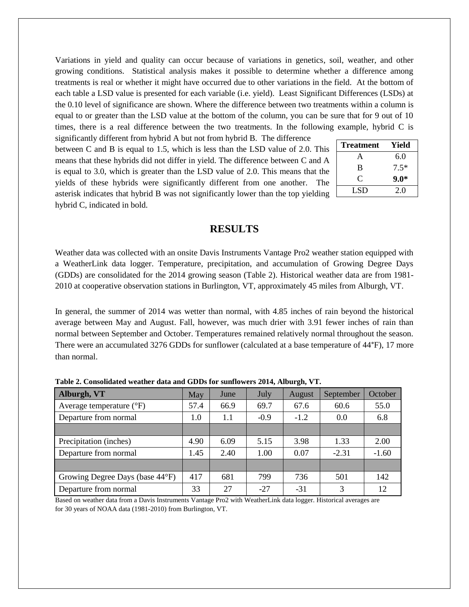Variations in yield and quality can occur because of variations in genetics, soil, weather, and other growing conditions. Statistical analysis makes it possible to determine whether a difference among treatments is real or whether it might have occurred due to other variations in the field. At the bottom of each table a LSD value is presented for each variable (i.e. yield). Least Significant Differences (LSDs) at the 0.10 level of significance are shown. Where the difference between two treatments within a column is equal to or greater than the LSD value at the bottom of the column, you can be sure that for 9 out of 10 times, there is a real difference between the two treatments. In the following example, hybrid C is significantly different from hybrid A but not from hybrid B. The difference

between C and B is equal to 1.5, which is less than the LSD value of 2.0. This means that these hybrids did not differ in yield. The difference between C and A is equal to 3.0, which is greater than the LSD value of 2.0. This means that the yields of these hybrids were significantly different from one another. The asterisk indicates that hybrid B was not significantly lower than the top yielding hybrid C, indicated in bold.

| <b>Treatment</b> | Yield  |
|------------------|--------|
| А                | 6.0    |
| B                | $7.5*$ |
| C                | $9.0*$ |
| LSD              | 2.0    |

## **RESULTS**

Weather data was collected with an onsite Davis Instruments Vantage Pro2 weather station equipped with a WeatherLink data logger. Temperature, precipitation, and accumulation of Growing Degree Days (GDDs) are consolidated for the 2014 growing season (Table 2). Historical weather data are from 1981- 2010 at cooperative observation stations in Burlington, VT, approximately 45 miles from Alburgh, VT.

In general, the summer of 2014 was wetter than normal, with 4.85 inches of rain beyond the historical average between May and August. Fall, however, was much drier with 3.91 fewer inches of rain than normal between September and October. Temperatures remained relatively normal throughout the season. There were an accumulated 3276 GDDs for sunflower (calculated at a base temperature of 44°F), 17 more than normal.

| Tubic 2. Consolidated weather data and ODDs for sumfowers 2014. Insurging with |      |      |        |        |           |         |  |  |
|--------------------------------------------------------------------------------|------|------|--------|--------|-----------|---------|--|--|
| Alburgh, VT                                                                    | May  | June | July   | August | September | October |  |  |
| Average temperature $(^{\circ}F)$                                              | 57.4 | 66.9 | 69.7   | 67.6   | 60.6      | 55.0    |  |  |
| Departure from normal                                                          | 1.0  | 1.1  | $-0.9$ | $-1.2$ | 0.0       | 6.8     |  |  |
|                                                                                |      |      |        |        |           |         |  |  |
| Precipitation (inches)                                                         | 4.90 | 6.09 | 5.15   | 3.98   | 1.33      | 2.00    |  |  |
| Departure from normal                                                          | 1.45 | 2.40 | 1.00   | 0.07   | $-2.31$   | $-1.60$ |  |  |
|                                                                                |      |      |        |        |           |         |  |  |
| Growing Degree Days (base 44°F)                                                | 417  | 681  | 799    | 736    | 501       | 142     |  |  |
| Departure from normal                                                          | 33   | 27   | $-27$  | $-31$  | 3         | 12      |  |  |

Based on weather data from a Davis Instruments Vantage Pro2 with WeatherLink data logger. Historical averages are for 30 years of NOAA data (1981-2010) from Burlington, VT.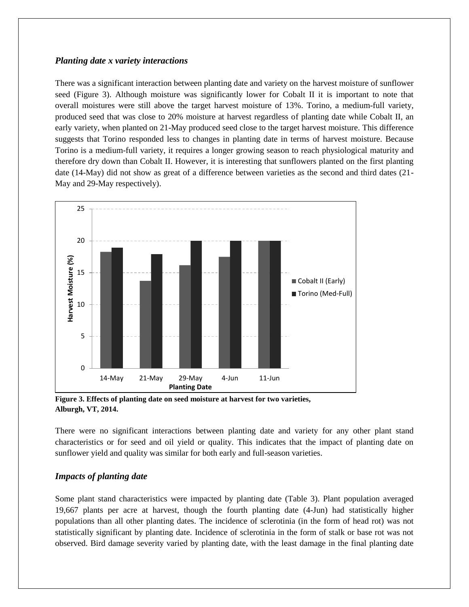#### *Planting date x variety interactions*

There was a significant interaction between planting date and variety on the harvest moisture of sunflower seed (Figure 3). Although moisture was significantly lower for Cobalt II it is important to note that overall moistures were still above the target harvest moisture of 13%. Torino, a medium-full variety, produced seed that was close to 20% moisture at harvest regardless of planting date while Cobalt II, an early variety, when planted on 21-May produced seed close to the target harvest moisture. This difference suggests that Torino responded less to changes in planting date in terms of harvest moisture. Because Torino is a medium-full variety, it requires a longer growing season to reach physiological maturity and therefore dry down than Cobalt II. However, it is interesting that sunflowers planted on the first planting date (14-May) did not show as great of a difference between varieties as the second and third dates (21- May and 29-May respectively).



**Figure 3. Effects of planting date on seed moisture at harvest for two varieties, Alburgh, VT, 2014.**

There were no significant interactions between planting date and variety for any other plant stand characteristics or for seed and oil yield or quality. This indicates that the impact of planting date on sunflower yield and quality was similar for both early and full-season varieties.

#### *Impacts of planting date*

Some plant stand characteristics were impacted by planting date (Table 3). Plant population averaged 19,667 plants per acre at harvest, though the fourth planting date (4-Jun) had statistically higher populations than all other planting dates. The incidence of sclerotinia (in the form of head rot) was not statistically significant by planting date. Incidence of sclerotinia in the form of stalk or base rot was not observed. Bird damage severity varied by planting date, with the least damage in the final planting date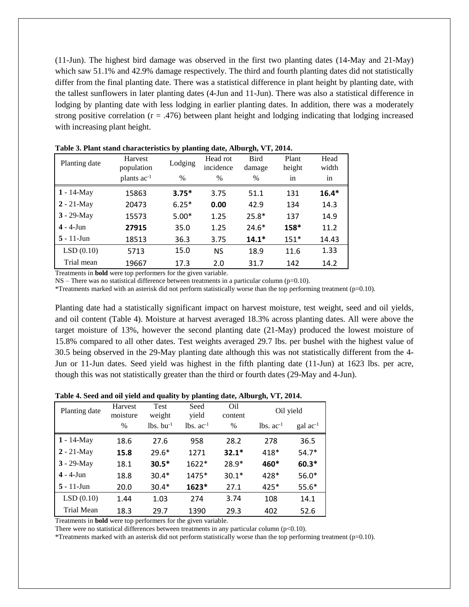(11-Jun). The highest bird damage was observed in the first two planting dates (14-May and 21-May) which saw 51.1% and 42.9% damage respectively. The third and fourth planting dates did not statistically differ from the final planting date. There was a statistical difference in plant height by planting date, with the tallest sunflowers in later planting dates (4-Jun and 11-Jun). There was also a statistical difference in lodging by planting date with less lodging in earlier planting dates. In addition, there was a moderately strong positive correlation  $(r = .476)$  between plant height and lodging indicating that lodging increased with increasing plant height.

| Planting date         | Harvest<br>population | Lodging | Head rot<br>incidence | Bird<br>damage | Plant<br>height | Head<br>width |
|-----------------------|-----------------------|---------|-----------------------|----------------|-----------------|---------------|
|                       | plants $ac^{-1}$      | $\%$    | $\%$                  | $\%$           | 1n              | in            |
| $1 - 14$ -May         | 15863                 | $3.75*$ | 3.75                  | 51.1           | 131             | $16.4*$       |
| $2 - 21$ -May         | 20473                 | $6.25*$ | 0.00                  | 42.9           | 134             | 14.3          |
| $3 - 29$ -May         | 15573                 | $5.00*$ | 1.25                  | $25.8*$        | 137             | 14.9          |
| $4 - 4$ -Jun          | 27915                 | 35.0    | 1.25                  | $24.6*$        | 158*            | 11.2          |
| $5 - 11 - \text{Jun}$ | 18513                 | 36.3    | 3.75                  | $14.1*$        | $151*$          | 14.43         |
| LSD(0.10)             | 5713                  | 15.0    | <b>NS</b>             | 18.9           | 11.6            | 1.33          |
| Trial mean            | 19667                 | 17.3    | 2.0                   | 31.7           | 142             | 14.2          |

**Table 3. Plant stand characteristics by planting date, Alburgh, VT, 2014.**

Treatments in **bold** were top performers for the given variable.

 $NS$  – There was no statistical difference between treatments in a particular column (p=0.10).

\*Treatments marked with an asterisk did not perform statistically worse than the top performing treatment (p=0.10).

Planting date had a statistically significant impact on harvest moisture, test weight, seed and oil yields, and oil content (Table 4). Moisture at harvest averaged 18.3% across planting dates. All were above the target moisture of 13%, however the second planting date (21-May) produced the lowest moisture of 15.8% compared to all other dates. Test weights averaged 29.7 lbs. per bushel with the highest value of 30.5 being observed in the 29-May planting date although this was not statistically different from the 4- Jun or 11-Jun dates. Seed yield was highest in the fifth planting date (11-Jun) at 1623 lbs. per acre, though this was not statistically greater than the third or fourth dates (29-May and 4-Jun).

#### **Table 4. Seed and oil yield and quality by planting date, Alburgh, VT, 2014.**

| Planting date         | Harvest<br>moisture | <b>Test</b><br>weight   | Seed<br>yield                  | Oil<br>content | Oil yield   |                            |
|-----------------------|---------------------|-------------------------|--------------------------------|----------------|-------------|----------------------------|
|                       | $\%$                | $lbs.$ bu <sup>-1</sup> | $\text{lbs.}$ ac <sup>-1</sup> | $\frac{0}{0}$  | $lbs. ac-1$ | $\rm gal$ ac <sup>-1</sup> |
| $1 - 14$ -May         | 18.6                | 27.6                    | 958                            | 28.2           | 278         | 36.5                       |
| $2 - 21$ -May         | 15.8                | $29.6*$                 | 1271                           | $32.1*$        | 418*        | $54.7*$                    |
| $3 - 29$ -May         | 18.1                | $30.5*$                 | 1622*                          | 28.9*          | 460*        | $60.3*$                    |
| $4 - 4$ -Jun          | 18.8                | $30.4*$                 | 1475*                          | $30.1*$        | 428*        | 56.0*                      |
| $5 - 11 - \text{Jun}$ | 20.0                | $30.4*$                 | $1623*$                        | 27.1           | $425*$      | $55.6*$                    |
| LSD(0.10)             | 1.44                | 1.03                    | 274                            | 3.74           | 108         | 14.1                       |
| Trial Mean            | 18.3                | 29.7                    | 1390                           | 29.3           | 402         | 52.6                       |

Treatments in **bold** were top performers for the given variable.

There were no statistical differences between treatments in any particular column ( $p<0.10$ ).

\*Treatments marked with an asterisk did not perform statistically worse than the top performing treatment (p=0.10).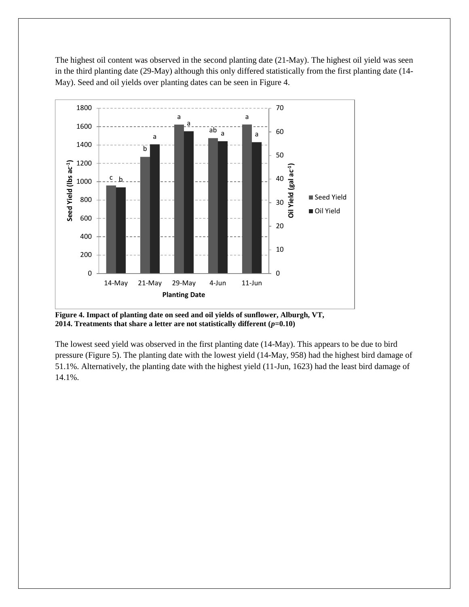The highest oil content was observed in the second planting date (21-May). The highest oil yield was seen in the third planting date (29-May) although this only differed statistically from the first planting date (14- May). Seed and oil yields over planting dates can be seen in Figure 4.



**Figure 4. Impact of planting date on seed and oil yields of sunflower, Alburgh, VT, 2014. Treatments that share a letter are not statistically different (***p***=0.10)**

The lowest seed yield was observed in the first planting date (14-May). This appears to be due to bird pressure (Figure 5). The planting date with the lowest yield (14-May, 958) had the highest bird damage of 51.1%. Alternatively, the planting date with the highest yield (11-Jun, 1623) had the least bird damage of 14.1%.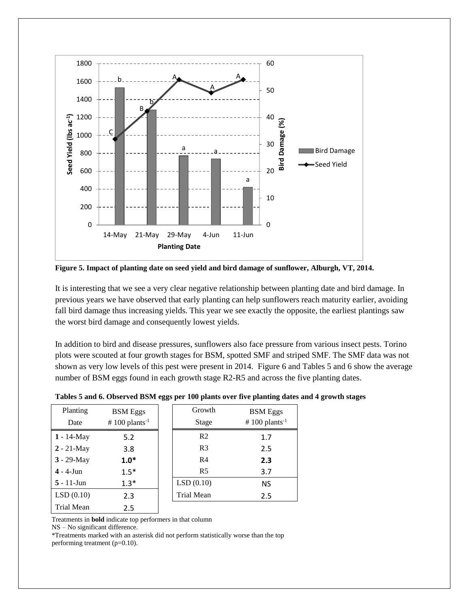

**Figure 5. Impact of planting date on seed yield and bird damage of sunflower, Alburgh, VT, 2014.**

It is interesting that we see a very clear negative relationship between planting date and bird damage. In previous years we have observed that early planting can help sunflowers reach maturity earlier, avoiding fall bird damage thus increasing yields. This year we see exactly the opposite, the earliest plantings saw the worst bird damage and consequently lowest yields.

In addition to bird and disease pressures, sunflowers also face pressure from various insect pests. Torino plots were scouted at four growth stages for BSM, spotted SMF and striped SMF. The SMF data was not shown as very low levels of this pest were present in 2014. Figure 6 and Tables 5 and 6 show the average number of BSM eggs found in each growth stage R2-R5 and across the five planting dates.

| Planting<br>Date  | <b>BSM</b> Eggs<br># 100 plants <sup>-1</sup> | Growth<br>Stage | <b>BSM</b> Eggs<br># 100 plants <sup>-1</sup> |
|-------------------|-----------------------------------------------|-----------------|-----------------------------------------------|
| $1 - 14$ -May     | 5.2                                           | R <sub>2</sub>  | 1.7                                           |
| $2 - 21$ -May     | 3.8                                           | R <sub>3</sub>  | 2.5                                           |
| $3 - 29$ -May     | $1.0*$                                        | R <sub>4</sub>  | 2.3                                           |
| $4 - 4$ -Jun      | $1.5*$                                        | R <sub>5</sub>  | 3.7                                           |
| $5 - 11$ -Jun     | $1.3*$                                        | LSD(0.10)       | NS                                            |
| LSD(0.10)         | 2.3                                           | Trial Mean      | 2.5                                           |
| <b>Trial Mean</b> | 2.5                                           |                 |                                               |

**Tables 5 and 6. Observed BSM eggs per 100 plants over five planting dates and 4 growth stages**

Treatments in **bold** indicate top performers in that column NS – No significant difference.

\*Treatments marked with an asterisk did not perform statistically worse than the top performing treatment (p=0.10).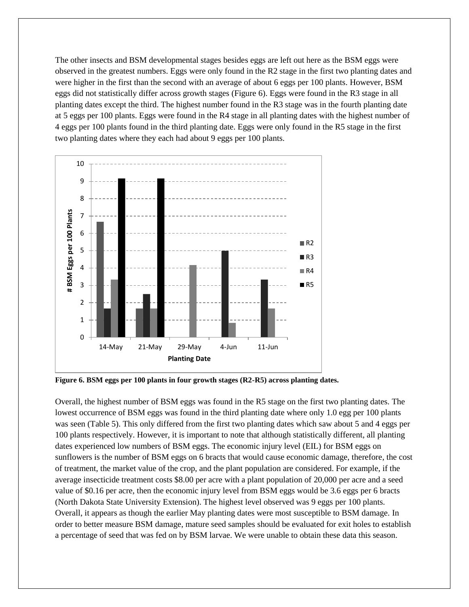The other insects and BSM developmental stages besides eggs are left out here as the BSM eggs were observed in the greatest numbers. Eggs were only found in the R2 stage in the first two planting dates and were higher in the first than the second with an average of about 6 eggs per 100 plants. However, BSM eggs did not statistically differ across growth stages (Figure 6). Eggs were found in the R3 stage in all planting dates except the third. The highest number found in the R3 stage was in the fourth planting date at 5 eggs per 100 plants. Eggs were found in the R4 stage in all planting dates with the highest number of 4 eggs per 100 plants found in the third planting date. Eggs were only found in the R5 stage in the first two planting dates where they each had about 9 eggs per 100 plants.



**Figure 6. BSM eggs per 100 plants in four growth stages (R2-R5) across planting dates.**

Overall, the highest number of BSM eggs was found in the R5 stage on the first two planting dates. The lowest occurrence of BSM eggs was found in the third planting date where only 1.0 egg per 100 plants was seen (Table 5). This only differed from the first two planting dates which saw about 5 and 4 eggs per 100 plants respectively. However, it is important to note that although statistically different, all planting dates experienced low numbers of BSM eggs. The economic injury level (EIL) for BSM eggs on sunflowers is the number of BSM eggs on 6 bracts that would cause economic damage, therefore, the cost of treatment, the market value of the crop, and the plant population are considered. For example, if the average insecticide treatment costs \$8.00 per acre with a plant population of 20,000 per acre and a seed value of \$0.16 per acre, then the economic injury level from BSM eggs would be 3.6 eggs per 6 bracts (North Dakota State University Extension). The highest level observed was 9 eggs per 100 plants. Overall, it appears as though the earlier May planting dates were most susceptible to BSM damage. In order to better measure BSM damage, mature seed samples should be evaluated for exit holes to establish a percentage of seed that was fed on by BSM larvae. We were unable to obtain these data this season.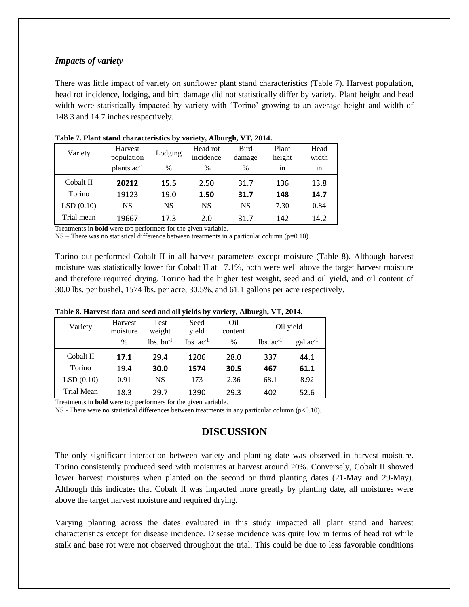#### *Impacts of variety*

There was little impact of variety on sunflower plant stand characteristics (Table 7). Harvest population, head rot incidence, lodging, and bird damage did not statistically differ by variety. Plant height and head width were statistically impacted by variety with 'Torino' growing to an average height and width of 148.3 and 14.7 inches respectively.

| Variety    | Harvest<br>population | Lodging | Head rot<br>incidence | Bird<br>damage | Plant<br>height | Head<br>width |
|------------|-----------------------|---------|-----------------------|----------------|-----------------|---------------|
|            | plants $ac^{-1}$      | $\%$    | $\frac{0}{0}$         | $\%$           | 1n              | in            |
| Cobalt II  | 20212                 | 15.5    | 2.50                  | 31.7           | 136             | 13.8          |
| Torino     | 19123                 | 19.0    | 1.50                  | 31.7           | 148             | 14.7          |
| LSD(0.10)  | <b>NS</b>             | NS      | <b>NS</b>             | NS             | 7.30            | 0.84          |
| Trial mean | 19667                 | 17.3    | 2.0                   | 31.7           | 142             | 14.2          |

| Table 7. Plant stand characteristics by variety, Alburgh, VT, 2014. |  |  |
|---------------------------------------------------------------------|--|--|
|                                                                     |  |  |

Treatments in **bold** were top performers for the given variable.

NS – There was no statistical difference between treatments in a particular column (p=0.10).

Torino out-performed Cobalt II in all harvest parameters except moisture (Table 8). Although harvest moisture was statistically lower for Cobalt II at 17.1%, both were well above the target harvest moisture and therefore required drying. Torino had the higher test weight, seed and oil yield, and oil content of 30.0 lbs. per bushel, 1574 lbs. per acre, 30.5%, and 61.1 gallons per acre respectively.

| Variety           | Harvest<br>moisture | <b>Test</b><br>weight   | Seed<br>yield                  | Oil<br>content | Oil yield   |                      |
|-------------------|---------------------|-------------------------|--------------------------------|----------------|-------------|----------------------|
|                   | $\%$                | $lbs.$ bu <sup>-1</sup> | $\text{lbs.}$ ac <sup>-1</sup> | $\%$           | $lbs. ac-1$ | $\text{gal ac}^{-1}$ |
| Cobalt II         | 17.1                | 29.4                    | 1206                           | 28.0           | 337         | 44.1                 |
| Torino            | 19.4                | 30.0                    | 1574                           | 30.5           | 467         | 61.1                 |
| LSD(0.10)         | 0.91                | <b>NS</b>               | 173                            | 2.36           | 68.1        | 8.92                 |
| <b>Trial Mean</b> | 18.3                | 29.7                    | 1390                           | 29.3           | 402         | 52.6                 |

**Table 8. Harvest data and seed and oil yields by variety, Alburgh, VT, 2014.**

Treatments in **bold** were top performers for the given variable.

 $NS$  - There were no statistical differences between treatments in any particular column ( $p<0.10$ ).

## **DISCUSSION**

The only significant interaction between variety and planting date was observed in harvest moisture. Torino consistently produced seed with moistures at harvest around 20%. Conversely, Cobalt II showed lower harvest moistures when planted on the second or third planting dates (21-May and 29-May). Although this indicates that Cobalt II was impacted more greatly by planting date, all moistures were above the target harvest moisture and required drying.

Varying planting across the dates evaluated in this study impacted all plant stand and harvest characteristics except for disease incidence. Disease incidence was quite low in terms of head rot while stalk and base rot were not observed throughout the trial. This could be due to less favorable conditions